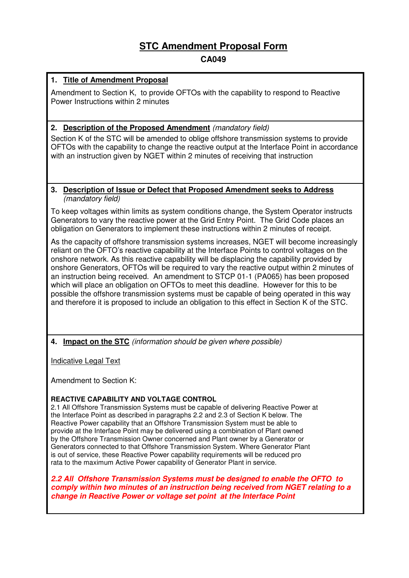# **STC Amendment Proposal Form**

## **CA049**

## **1. Title of Amendment Proposal**

Amendment to Section K, to provide OFTOs with the capability to respond to Reactive Power Instructions within 2 minutes

## **2. Description of the Proposed Amendment** (mandatory field)

Section K of the STC will be amended to oblige offshore transmission systems to provide OFTOs with the capability to change the reactive output at the Interface Point in accordance with an instruction given by NGET within 2 minutes of receiving that instruction

#### **3. Description of Issue or Defect that Proposed Amendment seeks to Address** (mandatory field)

To keep voltages within limits as system conditions change, the System Operator instructs Generators to vary the reactive power at the Grid Entry Point. The Grid Code places an obligation on Generators to implement these instructions within 2 minutes of receipt.

As the capacity of offshore transmission systems increases, NGET will become increasingly reliant on the OFTO's reactive capability at the Interface Points to control voltages on the onshore network. As this reactive capability will be displacing the capability provided by onshore Generators, OFTOs will be required to vary the reactive output within 2 minutes of an instruction being received. An amendment to STCP 01-1 (PA065) has been proposed which will place an obligation on OFTOs to meet this deadline. However for this to be possible the offshore transmission systems must be capable of being operated in this way and therefore it is proposed to include an obligation to this effect in Section K of the STC.

**4. Impact on the STC** (information should be given where possible)

Indicative Legal Text

Amendment to Section K:

## **REACTIVE CAPABILITY AND VOLTAGE CONTROL**

2.1 All Offshore Transmission Systems must be capable of delivering Reactive Power at the Interface Point as described in paragraphs 2.2 and 2.3 of Section K below. The Reactive Power capability that an Offshore Transmission System must be able to provide at the Interface Point may be delivered using a combination of Plant owned by the Offshore Transmission Owner concerned and Plant owner by a Generator or Generators connected to that Offshore Transmission System. Where Generator Plant is out of service, these Reactive Power capability requirements will be reduced pro rata to the maximum Active Power capability of Generator Plant in service.

**2.2 All Offshore Transmission Systems must be designed to enable the OFTO to comply within two minutes of an instruction being received from NGET relating to a change in Reactive Power or voltage set point at the Interface Point**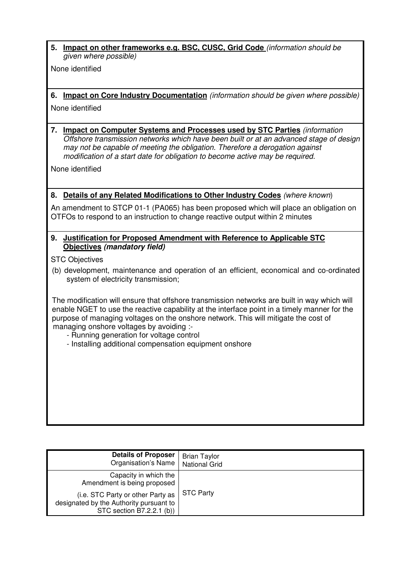**5. Impact on other frameworks e.g. BSC, CUSC, Grid Code** (information should be given where possible)

None identified

- **6. Impact on Core Industry Documentation** (information should be given where possible)
- None identified
- **7. Impact on Computer Systems and Processes used by STC Parties** (information Offshore transmission networks which have been built or at an advanced stage of design may not be capable of meeting the obligation. Therefore a derogation against modification of a start date for obligation to become active may be required.

None identified

## **8. Details of any Related Modifications to Other Industry Codes** (where known)

An amendment to STCP 01-1 (PA065) has been proposed which will place an obligation on OTFOs to respond to an instruction to change reactive output within 2 minutes

### **9. Justification for Proposed Amendment with Reference to Applicable STC Objectives (mandatory field)**

STC Objectives

(b) development, maintenance and operation of an efficient, economical and co-ordinated system of electricity transmission;

The modification will ensure that offshore transmission networks are built in way which will enable NGET to use the reactive capability at the interface point in a timely manner for the purpose of managing voltages on the onshore network. This will mitigate the cost of managing onshore voltages by avoiding :-

- Running generation for voltage control
- Installing additional compensation equipment onshore

| <b>Details of Proposer</b><br>Organisation's Name                                                         | <b>Brian Taylor</b><br><b>National Grid</b> |
|-----------------------------------------------------------------------------------------------------------|---------------------------------------------|
| Capacity in which the<br>Amendment is being proposed                                                      | <b>STC Party</b>                            |
| (i.e. STC Party or other Party as<br>designated by the Authority pursuant to<br>STC section B7.2.2.1 (b)) |                                             |